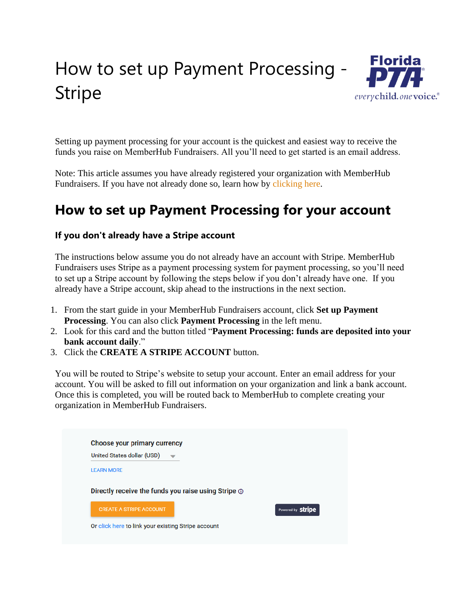## How to set up Payment Processing - Stripe



Setting up payment processing for your account is the quickest and easiest way to receive the funds you raise on MemberHub Fundraisers. All you'll need to get started is an email address.

Note: This article assumes you have already registered your organization with MemberHub Fundraisers. If you have not already done so, learn how by [clicking here.](https://support.memberhub.com/hc/en-us/articles/360045702914)

## **How to set up Payment Processing for your account**

## **If you don't already have a Stripe account**

The instructions below assume you do not already have an account with Stripe. MemberHub Fundraisers uses Stripe as a payment processing system for payment processing, so you'll need to set up a Stripe account by following the steps below if you don't already have one. If you already have a Stripe account, skip ahead to the instructions in the next section.

- 1. From the start guide in your MemberHub Fundraisers account, click **Set up Payment Processing**. You can also click **Payment Processing** in the left menu.
- 2. Look for this card and the button titled "**Payment Processing: funds are deposited into your bank account daily**."
- 3. Click the **CREATE A STRIPE ACCOUNT** button.

You will be routed to Stripe's website to setup your account. Enter an email address for your account. You will be asked to fill out information on your organization and link a bank account. Once this is completed, you will be routed back to MemberHub to complete creating your organization in MemberHub Fundraisers.

| United States dollar (USD)     |                                                           |                          |
|--------------------------------|-----------------------------------------------------------|--------------------------|
| <b>LEARN MORE</b>              |                                                           |                          |
|                                |                                                           |                          |
|                                |                                                           |                          |
|                                | Directly receive the funds you raise using Stripe $\odot$ |                          |
| <b>CREATE A STRIPE ACCOUNT</b> |                                                           | Powered by <b>Stripe</b> |